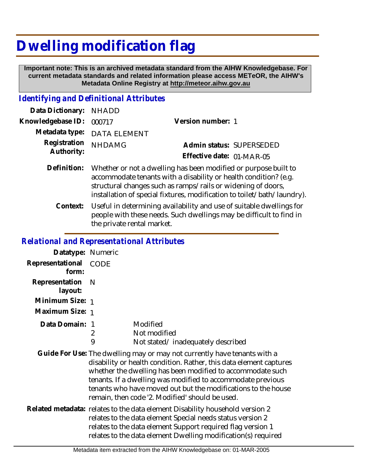## **Dwelling modification flag**

 **Important note: This is an archived metadata standard from the AIHW Knowledgebase. For current metadata standards and related information please access METeOR, the AIHW's Metadata Online Registry at http://meteor.aihw.gov.au**

## *Identifying and Definitional Attributes*

| Data Dictionary: NHADD     |                                                                                                                                                 |                           |  |
|----------------------------|-------------------------------------------------------------------------------------------------------------------------------------------------|---------------------------|--|
| Knowledgebase ID: 000717   |                                                                                                                                                 | Version number: 1         |  |
|                            | Metadata type: DATA ELEMENT                                                                                                                     |                           |  |
| Registration<br>Authority: | <b>NHDAMG</b>                                                                                                                                   | Admin status: SUPERSEDED  |  |
|                            |                                                                                                                                                 | Effective date: 01-MAR-05 |  |
|                            | Definition: Whether or not a dwelling has been modified or purpose built to<br>accommodate tenants with a disability or health condition? (e.g. |                           |  |

installation of special fixtures, modification to toilet/bath/laundry). Useful in determining availability and use of suitable dwellings for people with these needs. Such dwellings may be difficult to find in the private rental market. **Context:**

structural changes such as ramps/rails or widening of doors,

## *Relational and Representational Attributes*

| Datatype: Numeric         |                                                                                                                                                                                                                                                                                                                                                                                                 |                                                                                                                                                                                                                                                                            |
|---------------------------|-------------------------------------------------------------------------------------------------------------------------------------------------------------------------------------------------------------------------------------------------------------------------------------------------------------------------------------------------------------------------------------------------|----------------------------------------------------------------------------------------------------------------------------------------------------------------------------------------------------------------------------------------------------------------------------|
| Representational<br>form: | <b>CODE</b>                                                                                                                                                                                                                                                                                                                                                                                     |                                                                                                                                                                                                                                                                            |
| Representation<br>layout: | – N                                                                                                                                                                                                                                                                                                                                                                                             |                                                                                                                                                                                                                                                                            |
| Minimum Size: 1           |                                                                                                                                                                                                                                                                                                                                                                                                 |                                                                                                                                                                                                                                                                            |
| Maximum Size: 1           |                                                                                                                                                                                                                                                                                                                                                                                                 |                                                                                                                                                                                                                                                                            |
| Data Domain: 1            | 2<br>9                                                                                                                                                                                                                                                                                                                                                                                          | Modified<br>Not modified<br>Not stated/inadequately described                                                                                                                                                                                                              |
|                           | Guide For Use: The dwelling may or may not currently have tenants with a<br>disability or health condition. Rather, this data element captures<br>whether the dwelling has been modified to accommodate such<br>tenants. If a dwelling was modified to accommodate previous<br>tenants who have moved out but the modifications to the house<br>remain, then code '2. Modified' should be used. |                                                                                                                                                                                                                                                                            |
|                           |                                                                                                                                                                                                                                                                                                                                                                                                 | Related metadata: relates to the data element Disability household version 2<br>relates to the data element Special needs status version 2<br>relates to the data element Support required flag version 1<br>relates to the data element Dwelling modification(s) required |